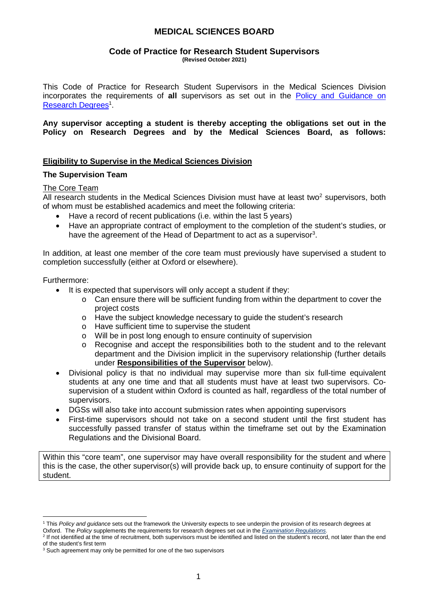#### **Code of Practice for Research Student Supervisors (Revised October 2021)**

This Code of Practice for Research Student Supervisors in the Medical Sciences Division incorporates the requirements of **all** supervisors as set out in the [Policy and Guidance on](https://academic.admin.ox.ac.uk/research-degrees)  [Research Degrees](https://academic.admin.ox.ac.uk/research-degrees)<sup>[1](#page-0-0)</sup>.

**Any supervisor accepting a student is thereby accepting the obligations set out in the Policy on Research Degrees and by the Medical Sciences Board, as follows:** 

### **Eligibility to Supervise in the Medical Sciences Division**

### **The Supervision Team**

### The Core Team

All research students in the Medical Sciences Division must have at least two<sup>[2](#page-0-1)</sup> supervisors, both of whom must be established academics and meet the following criteria:

- Have a record of recent publications (i.e. within the last 5 years)
- Have an appropriate contract of employment to the completion of the student's studies, or have the agreement of the Head of Department to act as a supervisor<sup>[3](#page-0-2)</sup>.

In addition, at least one member of the core team must previously have supervised a student to completion successfully (either at Oxford or elsewhere).

Furthermore:

- It is expected that supervisors will only accept a student if they:
	- $\circ$  Can ensure there will be sufficient funding from within the department to cover the project costs
	- o Have the subject knowledge necessary to guide the student's research
	- o Have sufficient time to supervise the student
	- o Will be in post long enough to ensure continuity of supervision
	- $\circ$  Recognise and accept the responsibilities both to the student and to the relevant department and the Division implicit in the supervisory relationship (further details under **Responsibilities of the Supervisor** below).
- Divisional policy is that no individual may supervise more than six full-time equivalent students at any one time and that all students must have at least two supervisors. Cosupervision of a student within Oxford is counted as half, regardless of the total number of supervisors.
- DGSs will also take into account submission rates when appointing supervisors
- First-time supervisors should not take on a second student until the first student has successfully passed transfer of status within the timeframe set out by the Examination Regulations and the Divisional Board.

Within this "core team", one supervisor may have overall responsibility for the student and where this is the case, the other supervisor(s) will provide back up, to ensure continuity of support for the student.

<span id="page-0-0"></span><sup>&</sup>lt;sup>1</sup> This Policy and guidance sets out the framework the University expects to see underpin the provision of its research degrees at Oxford. The *Policy* supplements the requirements for research degrees set out in the *Examination Regulations*.

<span id="page-0-1"></span><sup>&</sup>lt;sup>2</sup> If not identified at the time of recruitment, both supervisors must be identified and listed on the student's record, not later than the end of the student's first term

<span id="page-0-2"></span><sup>&</sup>lt;sup>3</sup> Such agreement may only be permitted for one of the two supervisors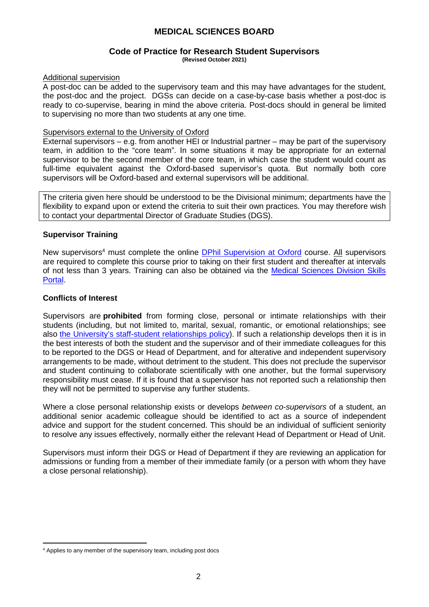#### **Code of Practice for Research Student Supervisors (Revised October 2021)**

### Additional supervision

A post-doc can be added to the supervisory team and this may have advantages for the student, the post-doc and the project. DGSs can decide on a case-by-case basis whether a post-doc is ready to co-supervise, bearing in mind the above criteria. Post-docs should in general be limited to supervising no more than two students at any one time.

### Supervisors external to the University of Oxford

External supervisors – e.g. from another HEI or Industrial partner – may be part of the supervisory team, in addition to the "core team". In some situations it may be appropriate for an external supervisor to be the second member of the core team, in which case the student would count as full-time equivalent against the Oxford-based supervisor's quota. But normally both core supervisors will be Oxford-based and external supervisors will be additional.

The criteria given here should be understood to be the Divisional minimum; departments have the flexibility to expand upon or extend the criteria to suit their own practices. You may therefore wish to contact your departmental Director of Graduate Studies (DGS).

### **Supervisor Training**

New supervisors<sup>[4](#page-1-0)</sup> must complete the online **DPhil Supervision at Oxford** course. All supervisors are required to complete this course prior to taking on their first student and thereafter at intervals of not less than 3 years. Training can also be obtained via the [Medical Sciences Division Skills](http://www.medsci.ox.ac.uk/study/skillstraining)  [Portal.](http://www.medsci.ox.ac.uk/study/skillstraining)

### **Conflicts of Interest**

Supervisors are **prohibited** from forming close, personal or intimate relationships with their students (including, but not limited to, marital, sexual, romantic, or emotional relationships; see also [the University's staff-student relationships policy\)](https://hr.admin.ox.ac.uk/staff-student-relationships). If such a relationship develops then it is in the best interests of both the student and the supervisor and of their immediate colleagues for this to be reported to the DGS or Head of Department, and for alterative and independent supervisory arrangements to be made, without detriment to the student. This does not preclude the supervisor and student continuing to collaborate scientifically with one another, but the formal supervisory responsibility must cease. If it is found that a supervisor has not reported such a relationship then they will not be permitted to supervise any further students.

Where a close personal relationship exists or develops *between co-supervisors* of a student, an additional senior academic colleague should be identified to act as a source of independent advice and support for the student concerned. This should be an individual of sufficient seniority to resolve any issues effectively, normally either the relevant Head of Department or Head of Unit.

Supervisors must inform their DGS or Head of Department if they are reviewing an application for admissions or funding from a member of their immediate family (or a person with whom they have a close personal relationship).

<span id="page-1-0"></span><sup>4</sup> Applies to any member of the supervisory team, including post docs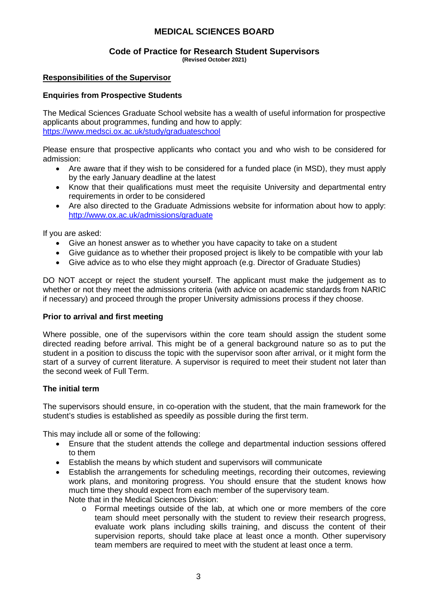#### **Code of Practice for Research Student Supervisors (Revised October 2021)**

### **Responsibilities of the Supervisor**

### **Enquiries from Prospective Students**

The Medical Sciences Graduate School website has a wealth of useful information for prospective applicants about programmes, funding and how to apply: <https://www.medsci.ox.ac.uk/study/graduateschool>

Please ensure that prospective applicants who contact you and who wish to be considered for admission:

- Are aware that if they wish to be considered for a funded place (in MSD), they must apply by the early January deadline at the latest
- Know that their qualifications must meet the requisite University and departmental entry requirements in order to be considered
- Are also directed to the Graduate Admissions website for information about how to apply: <http://www.ox.ac.uk/admissions/graduate>

If you are asked:

- Give an honest answer as to whether you have capacity to take on a student
- Give guidance as to whether their proposed project is likely to be compatible with your lab
- Give advice as to who else they might approach (e.g. Director of Graduate Studies)

DO NOT accept or reject the student yourself. The applicant must make the judgement as to whether or not they meet the admissions criteria (with advice on academic standards from NARIC if necessary) and proceed through the proper University admissions process if they choose.

### **Prior to arrival and first meeting**

Where possible, one of the supervisors within the core team should assign the student some directed reading before arrival. This might be of a general background nature so as to put the student in a position to discuss the topic with the supervisor soon after arrival, or it might form the start of a survey of current literature. A supervisor is required to meet their student not later than the second week of Full Term.

### **The initial term**

The supervisors should ensure, in co-operation with the student, that the main framework for the student's studies is established as speedily as possible during the first term.

This may include all or some of the following:

- Ensure that the student attends the college and departmental induction sessions offered to them
- Establish the means by which student and supervisors will communicate
- Establish the arrangements for scheduling meetings, recording their outcomes, reviewing work plans, and monitoring progress. You should ensure that the student knows how much time they should expect from each member of the supervisory team. Note that in the Medical Sciences Division:
	- o Formal meetings outside of the lab, at which one or more members of the core team should meet personally with the student to review their research progress, evaluate work plans including skills training, and discuss the content of their supervision reports, should take place at least once a month. Other supervisory team members are required to meet with the student at least once a term.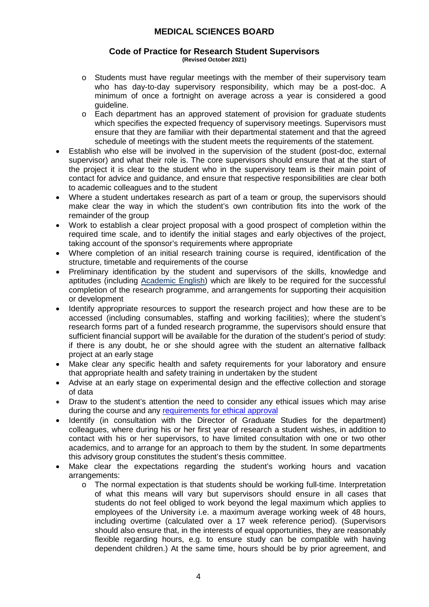#### **Code of Practice for Research Student Supervisors (Revised October 2021)**

- o Students must have regular meetings with the member of their supervisory team who has day-to-day supervisory responsibility, which may be a post-doc. A minimum of once a fortnight on average across a year is considered a good guideline.
- o Each department has an approved statement of provision for graduate students which specifies the expected frequency of supervisory meetings. Supervisors must ensure that they are familiar with their departmental statement and that the agreed schedule of meetings with the student meets the requirements of the statement.
- Establish who else will be involved in the supervision of the student (post-doc, external supervisor) and what their role is. The core supervisors should ensure that at the start of the project it is clear to the student who in the supervisory team is their main point of contact for advice and guidance, and ensure that respective responsibilities are clear both to academic colleagues and to the student
- Where a student undertakes research as part of a team or group, the supervisors should make clear the way in which the student's own contribution fits into the work of the remainder of the group
- Work to establish a clear project proposal with a good prospect of completion within the required time scale, and to identify the initial stages and early objectives of the project, taking account of the sponsor's requirements where appropriate
- Where completion of an initial research training course is required, identification of the structure, timetable and requirements of the course
- Preliminary identification by the student and supervisors of the skills, knowledge and aptitudes (including [Academic English](http://www.lang.ox.ac.uk/courses/english.html)) which are likely to be required for the successful completion of the research programme, and arrangements for supporting their acquisition or development
- Identify appropriate resources to support the research project and how these are to be accessed (including consumables, staffing and working facilities); where the student's research forms part of a funded research programme, the supervisors should ensure that sufficient financial support will be available for the duration of the student's period of study: if there is any doubt, he or she should agree with the student an alternative fallback project at an early stage
- Make clear any specific health and safety requirements for your laboratory and ensure that appropriate health and safety training in undertaken by the student
- Advise at an early stage on experimental design and the effective collection and storage of data
- Draw to the student's attention the need to consider any ethical issues which may arise during the course and any [requirements for ethical approval](https://researchsupport.admin.ox.ac.uk/governance/ethics)
- Identify (in consultation with the Director of Graduate Studies for the department) colleagues, where during his or her first year of research a student wishes, in addition to contact with his or her supervisors, to have limited consultation with one or two other academics, and to arrange for an approach to them by the student. In some departments this advisory group constitutes the student's thesis committee.
- Make clear the expectations regarding the student's working hours and vacation arrangements:
	- $\circ$  The normal expectation is that students should be working full-time. Interpretation of what this means will vary but supervisors should ensure in all cases that students do not feel obliged to work beyond the legal maximum which applies to employees of the University i.e. a maximum average working week of 48 hours, including overtime (calculated over a 17 week reference period). (Supervisors should also ensure that, in the interests of equal opportunities, they are reasonably flexible regarding hours, e.g. to ensure study can be compatible with having dependent children.) At the same time, hours should be by prior agreement, and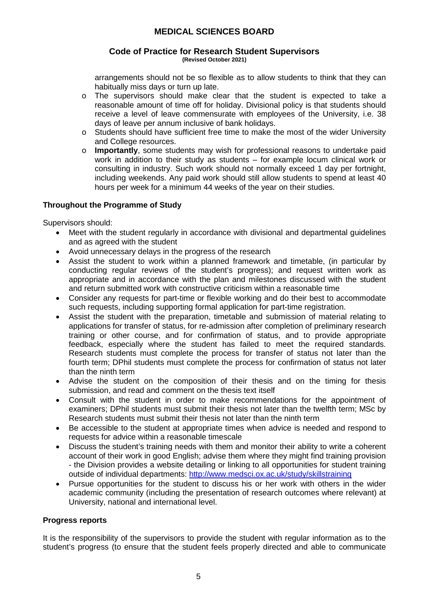#### **Code of Practice for Research Student Supervisors (Revised October 2021)**

arrangements should not be so flexible as to allow students to think that they can habitually miss days or turn up late.

- o The supervisors should make clear that the student is expected to take a reasonable amount of time off for holiday. Divisional policy is that students should receive a level of leave commensurate with employees of the University, i.e. 38 days of leave per annum inclusive of bank holidays.
- $\circ$  Students should have sufficient free time to make the most of the wider University and College resources.
- o **Importantly**, some students may wish for professional reasons to undertake paid work in addition to their study as students – for example locum clinical work or consulting in industry. Such work should not normally exceed 1 day per fortnight, including weekends. Any paid work should still allow students to spend at least 40 hours per week for a minimum 44 weeks of the year on their studies.

### **Throughout the Programme of Study**

Supervisors should:

- Meet with the student regularly in accordance with divisional and departmental guidelines and as agreed with the student
- Avoid unnecessary delays in the progress of the research
- Assist the student to work within a planned framework and timetable, (in particular by conducting regular reviews of the student's progress); and request written work as appropriate and in accordance with the plan and milestones discussed with the student and return submitted work with constructive criticism within a reasonable time
- Consider any requests for part-time or flexible working and do their best to accommodate such requests, including supporting formal application for part-time registration.
- Assist the student with the preparation, timetable and submission of material relating to applications for transfer of status, for re-admission after completion of preliminary research training or other course, and for confirmation of status, and to provide appropriate feedback, especially where the student has failed to meet the required standards. Research students must complete the process for transfer of status not later than the fourth term; DPhil students must complete the process for confirmation of status not later than the ninth term
- Advise the student on the composition of their thesis and on the timing for thesis submission, and read and comment on the thesis text itself
- Consult with the student in order to make recommendations for the appointment of examiners; DPhil students must submit their thesis not later than the twelfth term; MSc by Research students must submit their thesis not later than the ninth term
- Be accessible to the student at appropriate times when advice is needed and respond to requests for advice within a reasonable timescale
- Discuss the student's training needs with them and monitor their ability to write a coherent account of their work in good English; advise them where they might find training provision - the Division provides a website detailing or linking to all opportunities for student training outside of individual departments: <http://www.medsci.ox.ac.uk/study/skillstraining>
- Pursue opportunities for the student to discuss his or her work with others in the wider academic community (including the presentation of research outcomes where relevant) at University, national and international level.

### **Progress reports**

It is the responsibility of the supervisors to provide the student with regular information as to the student's progress (to ensure that the student feels properly directed and able to communicate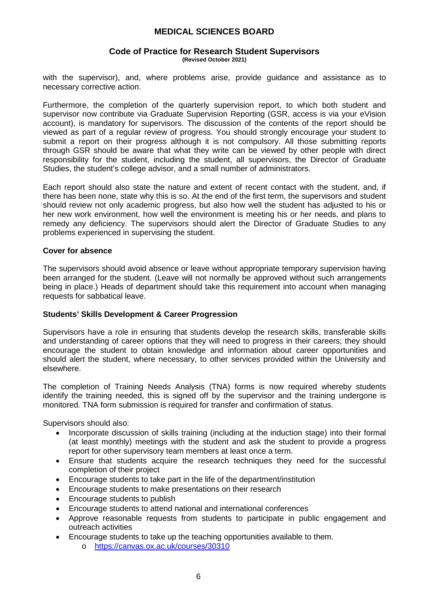#### **Code of Practice for Research Student Supervisors (Revised October 2021)**

with the supervisor), and, where problems arise, provide guidance and assistance as to necessary corrective action.

Furthermore, the completion of the quarterly supervision report, to which both student and supervisor now contribute via Graduate Supervision Reporting (GSR, access is via your eVision account), is mandatory for supervisors. The discussion of the contents of the report should be viewed as part of a regular review of progress. You should strongly encourage your student to submit a report on their progress although it is not compulsory. All those submitting reports through GSR should be aware that what they write can be viewed by other people with direct responsibility for the student, including the student, all supervisors, the Director of Graduate Studies, the student's college advisor, and a small number of administrators.

Each report should also state the nature and extent of recent contact with the student, and, if there has been none, state why this is so. At the end of the first term, the supervisors and student should review not only academic progress, but also how well the student has adjusted to his or her new work environment, how well the environment is meeting his or her needs, and plans to remedy any deficiency. The supervisors should alert the Director of Graduate Studies to any problems experienced in supervising the student.

### **Cover for absence**

The supervisors should avoid absence or leave without appropriate temporary supervision having been arranged for the student. (Leave will not normally be approved without such arrangements being in place.) Heads of department should take this requirement into account when managing requests for sabbatical leave.

### **Students' Skills Development & Career Progression**

Supervisors have a role in ensuring that students develop the research skills, transferable skills and understanding of career options that they will need to progress in their careers; they should encourage the student to obtain knowledge and information about career opportunities and should alert the student, where necessary, to other services provided within the University and elsewhere.

The completion of Training Needs Analysis (TNA) forms is now required whereby students identify the training needed, this is signed off by the supervisor and the training undergone is monitored. TNA form submission is required for transfer and confirmation of status.

Supervisors should also:

- Incorporate discussion of skills training (including at the induction stage) into their formal (at least monthly) meetings with the student and ask the student to provide a progress report for other supervisory team members at least once a term.
- Ensure that students acquire the research techniques they need for the successful completion of their project
- Encourage students to take part in the life of the department/institution
- Encourage students to make presentations on their research
- Encourage students to publish
- Encourage students to attend national and international conferences
- Approve reasonable requests from students to participate in public engagement and outreach activities
- Encourage students to take up the teaching opportunities available to them.
	- o <https://canvas.ox.ac.uk/courses/30310>